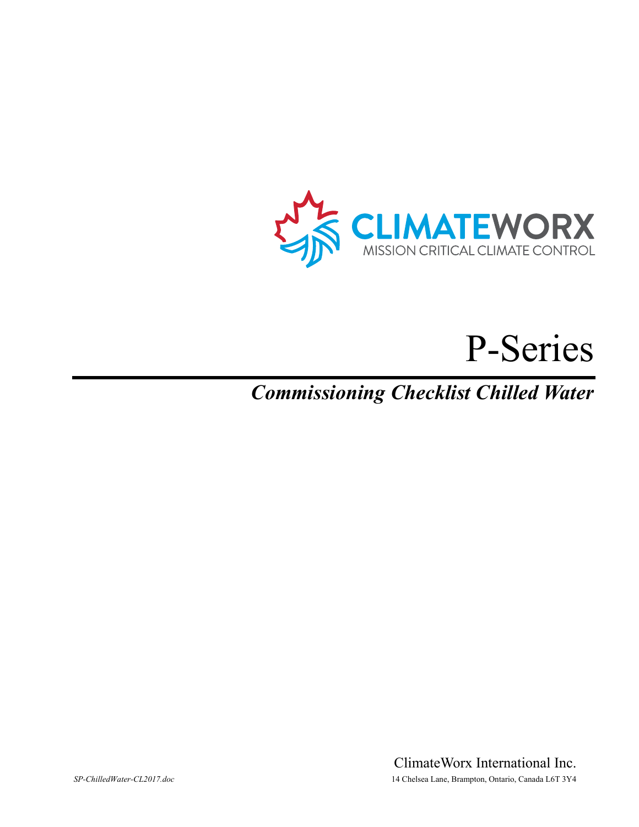

# P-Series

*Commissioning Checklist Chilled Water* 

ClimateWorx International Inc. *SP-ChilledWater-CL2017.doc* 14 Chelsea Lane, Brampton, Ontario, Canada L6T 3Y4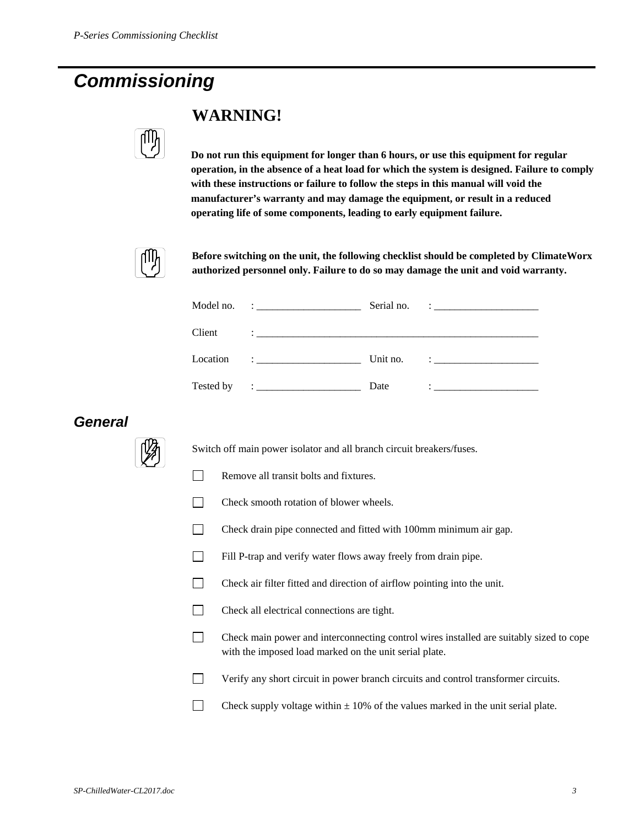## *Commissioning*



## **WARNING!**

**Do not run this equipment for longer than 6 hours, or use this equipment for regular operation, in the absence of a heat load for which the system is designed. Failure to comply with these instructions or failure to follow the steps in this manual will void the manufacturer's warranty and may damage the equipment, or result in a reduced operating life of some components, leading to early equipment failure.** 



**Before switching on the unit, the following checklist should be completed by ClimateWorx authorized personnel only. Failure to do so may damage the unit and void warranty.** 

| Model no. | $\mathbf{C}$ , and the contract of the contract of $\mathbf{C}$ | Serial no. | <u> 1986 - Jan Barbarat, politik eta provincia eta provincia eta provincia eta provincia eta provincia eta provin</u>                                                                                                                                                                                                                                                                                                                                       |
|-----------|-----------------------------------------------------------------|------------|-------------------------------------------------------------------------------------------------------------------------------------------------------------------------------------------------------------------------------------------------------------------------------------------------------------------------------------------------------------------------------------------------------------------------------------------------------------|
| Client    |                                                                 |            |                                                                                                                                                                                                                                                                                                                                                                                                                                                             |
| Location  | The control of the control of the                               | Unit no.   | $\mathcal{L}=\mathcal{L}=\mathcal{L}=\mathcal{L}=\mathcal{L}=\mathcal{L}=\mathcal{L}=\mathcal{L}=\mathcal{L}=\mathcal{L}=\mathcal{L}=\mathcal{L}=\mathcal{L}=\mathcal{L}=\mathcal{L}=\mathcal{L}=\mathcal{L}=\mathcal{L}=\mathcal{L}=\mathcal{L}=\mathcal{L}=\mathcal{L}=\mathcal{L}=\mathcal{L}=\mathcal{L}=\mathcal{L}=\mathcal{L}=\mathcal{L}=\mathcal{L}=\mathcal{L}=\mathcal{L}=\mathcal{L}=\mathcal{L}=\mathcal{L}=\mathcal{L}=\mathcal{L}=\mathcal{$ |
| Tested by | <b>Experience of the Community</b>                              | Date       |                                                                                                                                                                                                                                                                                                                                                                                                                                                             |

## *General*



Switch off main power isolator and all branch circuit breakers/fuses.

- Remove all transit bolts and fixtures.
- T Check smooth rotation of blower wheels.
- Check drain pipe connected and fitted with 100mm minimum air gap.
- Fill P-trap and verify water flows away freely from drain pipe.
- Check air filter fitted and direction of airflow pointing into the unit.
- Check all electrical connections are tight.
- Check main power and interconnecting control wires installed are suitably sized to cope with the imposed load marked on the unit serial plate.
- Verify any short circuit in power branch circuits and control transformer circuits.
- Check supply voltage within  $\pm$  10% of the values marked in the unit serial plate.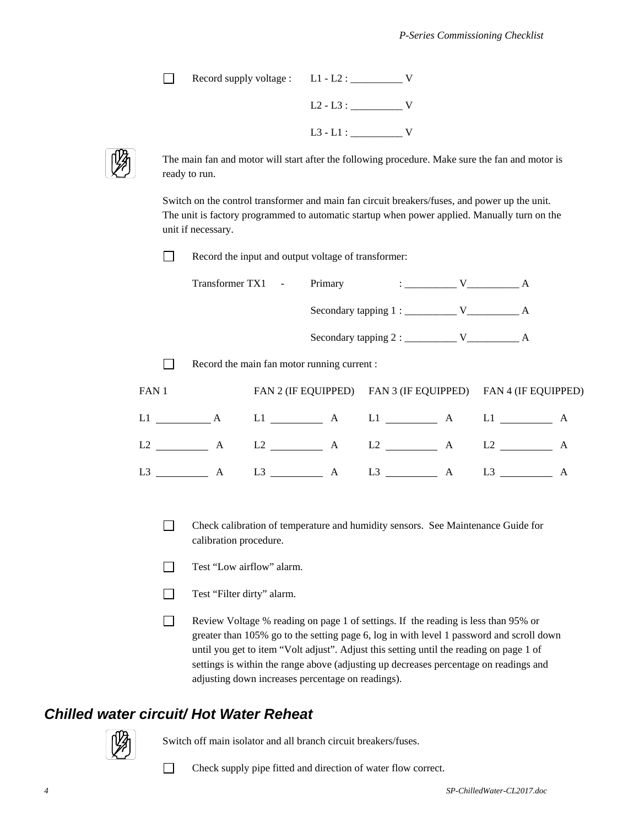Record supply voltage : L1 - L2 : \_\_\_\_\_\_\_\_\_\_ V L2 - L3 : \_\_\_\_\_\_\_\_\_\_ V  $L3 - L1 : \underline{\hspace{2cm}} V$ 



The main fan and motor will start after the following procedure. Make sure the fan and motor is ready to run.

Switch on the control transformer and main fan circuit breakers/fuses, and power up the unit. The unit is factory programmed to automatic startup when power applied. Manually turn on the unit if necessary.

Record the input and output voltage of transformer:

|             |              |                | Transformer TX1 - Primary                   | $\mathbf{V}$ and $\mathbf{V}$ and $\mathbf{A}$ |   |                                                             |   |
|-------------|--------------|----------------|---------------------------------------------|------------------------------------------------|---|-------------------------------------------------------------|---|
|             |              |                |                                             |                                                |   |                                                             |   |
|             |              |                |                                             |                                                |   |                                                             |   |
|             |              |                | Record the main fan motor running current : |                                                |   |                                                             |   |
| FAN 1       |              |                |                                             |                                                |   | FAN 2 (IF EQUIPPED) FAN 3 (IF EQUIPPED) FAN 4 (IF EQUIPPED) |   |
| $L1 \t\t A$ |              |                |                                             |                                                |   | $L1$ $A$ $L1$ $A$ $L1$ $A$ $L1$ $A$                         |   |
|             | $\mathbf{A}$ |                | $L2 \longrightarrow A$                      | $L2 \longrightarrow A$                         |   | L2                                                          | A |
| L3          | A            | L <sub>3</sub> | A                                           | L3                                             | A | L <sub>3</sub>                                              | A |

- Check calibration of temperature and humidity sensors. See Maintenance Guide for calibration procedure.
- Test "Low airflow" alarm.
- Test "Filter dirty" alarm.
- Review Voltage % reading on page 1 of settings. If the reading is less than 95% or greater than 105% go to the setting page 6, log in with level 1 password and scroll down until you get to item "Volt adjust". Adjust this setting until the reading on page 1 of settings is within the range above (adjusting up decreases percentage on readings and adjusting down increases percentage on readings).

## *Chilled water circuit/ Hot Water Reheat*



Switch off main isolator and all branch circuit breakers/fuses.

Check supply pipe fitted and direction of water flow correct.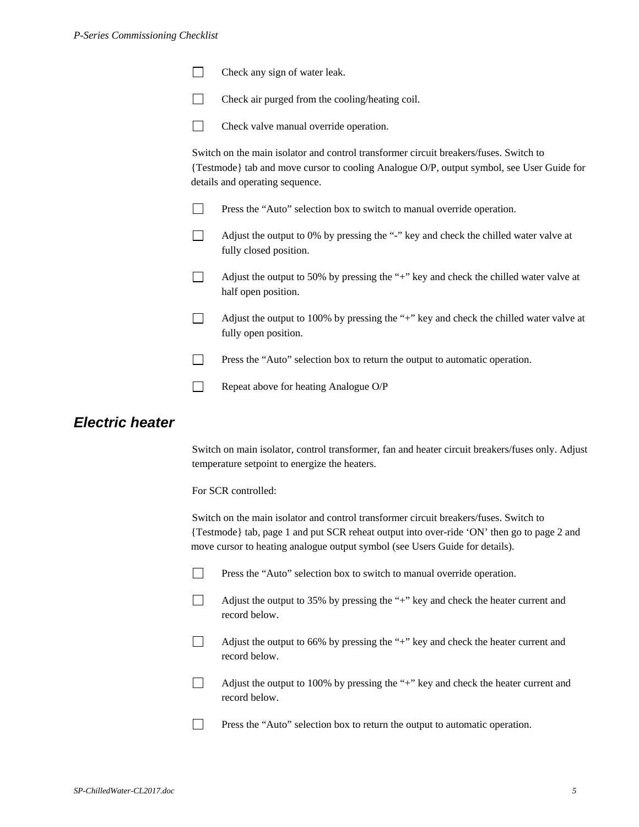#### *P-Series Commissioning Checklist*

| $\Box$ | Check any sign of water leak. |
|--------|-------------------------------|
|--------|-------------------------------|

 $\Box$  Check air purged from the cooling/heating coil.



Check valve manual override operation.

Switch on the main isolator and control transformer circuit breakers/fuses. Switch to {Testmode} tab and move cursor to cooling Analogue O/P, output symbol, see User Guide for details and operating sequence.

- **Press the "Auto" selection box to switch to manual override operation.**
- Adjust the output to 0% by pressing the "-" key and check the chilled water valve at fully closed position.
- $\Box$  Adjust the output to 50% by pressing the "+" key and check the chilled water valve at half open position.

 Adjust the output to 100% by pressing the "+" key and check the chilled water valve at fully open position.

- **Press the "Auto" selection box to return the output to automatic operation.**
- Repeat above for heating Analogue  $O/P$

## *Electric heater*

Switch on main isolator, control transformer, fan and heater circuit breakers/fuses only. Adjust temperature setpoint to energize the heaters.

For SCR controlled:

Switch on the main isolator and control transformer circuit breakers/fuses. Switch to {Testmode} tab, page 1 and put SCR reheat output into over-ride 'ON' then go to page 2 and move cursor to heating analogue output symbol (see Users Guide for details).



- Adjust the output to 35% by pressing the "+" key and check the heater current and record below.
- Adjust the output to 66% by pressing the "+" key and check the heater current and record below.

 Adjust the output to 100% by pressing the "+" key and check the heater current and record below.

**Press the "Auto" selection box to return the output to automatic operation.**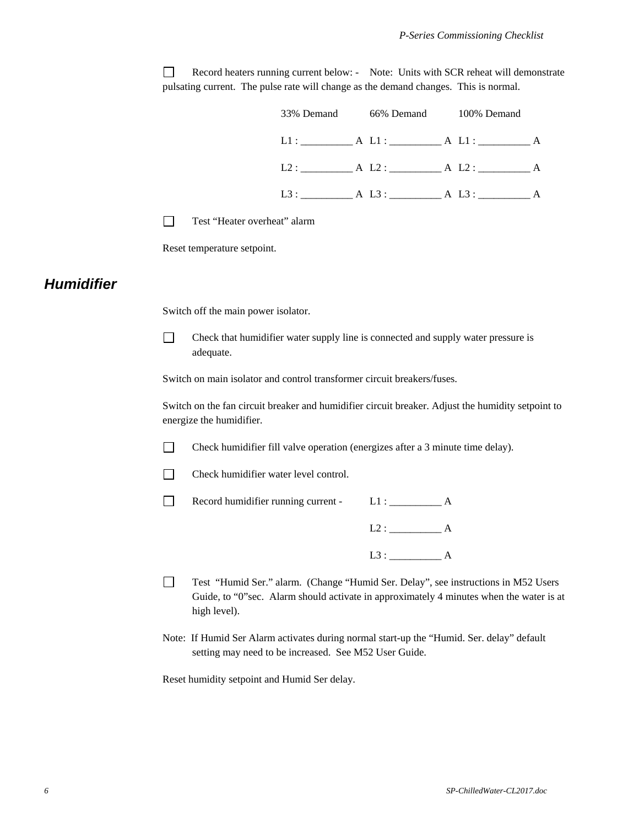Record heaters running current below: - Note: Units with SCR reheat will demonstrate pulsating current. The pulse rate will change as the demand changes. This is normal.



Test "Heater overheat" alarm

Reset temperature setpoint.

### *Humidifier*

Switch off the main power isolator.

 $\Box$  Check that humidifier water supply line is connected and supply water pressure is adequate.

Switch on main isolator and control transformer circuit breakers/fuses.

Switch on the fan circuit breaker and humidifier circuit breaker. Adjust the humidity setpoint to energize the humidifier.

Check humidifier fill valve operation (energizes after a 3 minute time delay).

 $\Box$  Check humidifier water level control.

Record humidifier running current - L1 : \_\_\_\_\_\_\_\_\_\_\_ A

L2 : \_\_\_\_\_\_\_\_\_\_ A

L3 : \_\_\_\_\_\_\_\_\_\_ A

- Test "Humid Ser." alarm. (Change "Humid Ser. Delay", see instructions in M52 Users Guide, to "0"sec. Alarm should activate in approximately 4 minutes when the water is at high level).
- Note: If Humid Ser Alarm activates during normal start-up the "Humid. Ser. delay" default setting may need to be increased. See M52 User Guide.

Reset humidity setpoint and Humid Ser delay.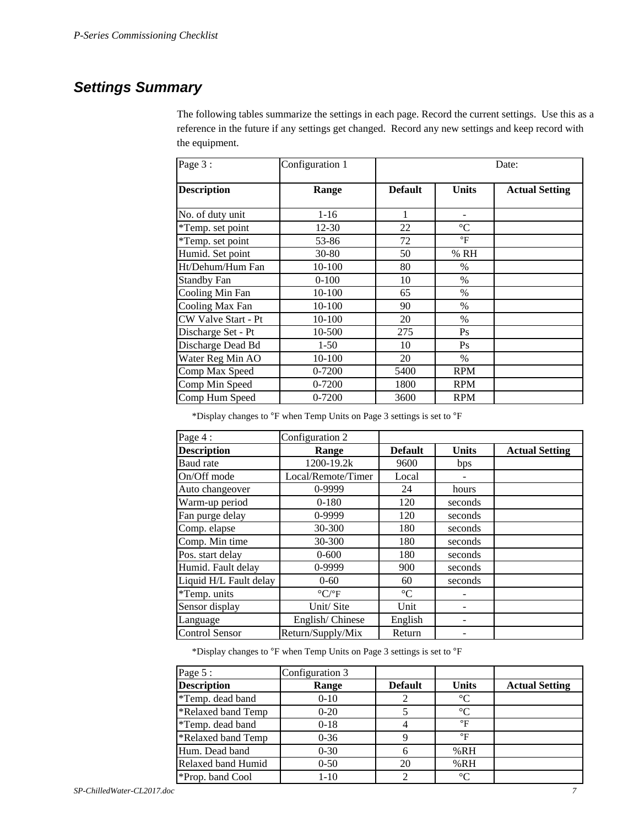## *Settings Summary*

The following tables summarize the settings in each page. Record the current settings. Use this as a reference in the future if any settings get changed. Record any new settings and keep record with the equipment.

| Page 3:             | Configuration 1 |                | Date:                |                       |  |  |
|---------------------|-----------------|----------------|----------------------|-----------------------|--|--|
| <b>Description</b>  | Range           | <b>Default</b> | <b>Units</b>         | <b>Actual Setting</b> |  |  |
| No. of duty unit    | $1-16$          |                |                      |                       |  |  |
| *Temp. set point    | $12 - 30$       | 22             | $\rm ^{\circ}C$      |                       |  |  |
| *Temp. set point    | 53-86           | 72             | $\mathrm{^{\circ}F}$ |                       |  |  |
| Humid. Set point    | $30 - 80$       | 50             | % RH                 |                       |  |  |
| Ht/Dehum/Hum Fan    | 10-100          | 80             | $\%$                 |                       |  |  |
| <b>Standby Fan</b>  | $0-100$         | 10             | $\%$                 |                       |  |  |
| Cooling Min Fan     | 10-100          | 65             | $\%$                 |                       |  |  |
| Cooling Max Fan     | 10-100          | 90             | $\%$                 |                       |  |  |
| CW Valve Start - Pt | 10-100          | 20             | $\%$                 |                       |  |  |
| Discharge Set - Pt  | 10-500          | 275            | Ps                   |                       |  |  |
| Discharge Dead Bd   | $1 - 50$        | 10             | Ps                   |                       |  |  |
| Water Reg Min AO    | 10-100          | 20             | $\%$                 |                       |  |  |
| Comp Max Speed      | 0-7200          | 5400           | <b>RPM</b>           |                       |  |  |
| Comp Min Speed      | 0-7200          | 1800           | <b>RPM</b>           |                       |  |  |
| Comp Hum Speed      | 0-7200          | 3600           | <b>RPM</b>           |                       |  |  |

\*Display changes to °F when Temp Units on Page 3 settings is set to °F

| Page 4:                | Configuration 2                 |                 |              |                       |
|------------------------|---------------------------------|-----------------|--------------|-----------------------|
| <b>Description</b>     | Range                           | <b>Default</b>  | <b>Units</b> | <b>Actual Setting</b> |
| Baud rate              | 1200-19.2k                      | 9600            | bps          |                       |
| On/Off mode            | Local/Remote/Timer              | Local           |              |                       |
| Auto changeover        | 0-9999                          | 24              | hours        |                       |
| Warm-up period         | $0-180$                         | 120             | seconds      |                       |
| Fan purge delay        | 0-9999                          | 120             | seconds      |                       |
| Comp. elapse           | 30-300                          | 180             | seconds      |                       |
| Comp. Min time         | 30-300                          | 180             | seconds      |                       |
| Pos. start delay       | $0 - 600$                       | 180             | seconds      |                       |
| Humid. Fault delay     | 0-9999                          | 900             | seconds      |                       |
| Liquid H/L Fault delay | $0 - 60$                        | 60              | seconds      |                       |
| *Temp. units           | $\rm ^{\circ} C/\rm ^{\circ} F$ | $\rm ^{\circ}C$ |              |                       |
| Sensor display         | Unit/Site                       | Unit            |              |                       |
| Language               | English/Chinese                 | English         |              |                       |
| <b>Control Sensor</b>  | Return/Supply/Mix               | Return          |              |                       |

\*Display changes to °F when Temp Units on Page 3 settings is set to °F

| Page 5:            | Configuration 3 |                |                 |                       |
|--------------------|-----------------|----------------|-----------------|-----------------------|
| <b>Description</b> | Range           | <b>Default</b> | <b>Units</b>    | <b>Actual Setting</b> |
| *Temp. dead band   | $0 - 10$        |                | $\rm ^{\circ}C$ |                       |
| *Relaxed band Temp | $0 - 20$        |                | $\rm ^{\circ}C$ |                       |
| *Temp. dead band   | $0 - 18$        |                | $\mathsf{P}$    |                       |
| *Relaxed band Temp | $0 - 36$        |                | $\mathsf{P}$    |                       |
| Hum. Dead band     | $0 - 30$        |                | %RH             |                       |
| Relaxed band Humid | $0 - 50$        | 20             | %RH             |                       |
| *Prop. band Cool   | $1 - 10$        | 2              | $^{\circ}C$     |                       |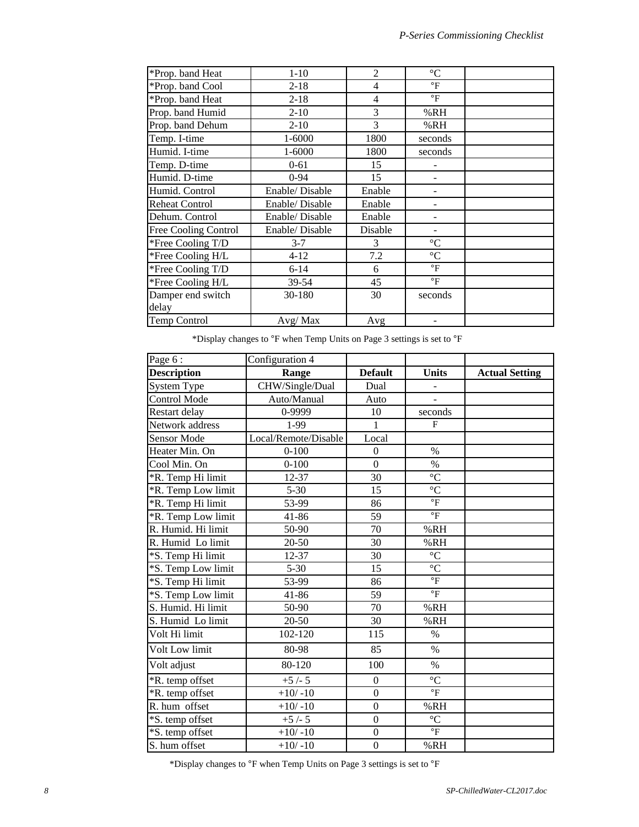| *Prop. band Heat            | $1 - 10$       | $\overline{2}$ | $\rm ^{\circ}C$ |  |
|-----------------------------|----------------|----------------|-----------------|--|
| *Prop. band Cool            | $2 - 18$       | 4              | $\mathsf{P}$    |  |
| *Prop. band Heat            | $2 - 18$       | $\overline{4}$ | $\mathsf{P}$    |  |
| Prop. band Humid            | $2-10$         | 3              | %RH             |  |
| Prop. band Dehum            | $2 - 10$       | 3              | %RH             |  |
| Temp. I-time                | 1-6000         | 1800           | seconds         |  |
| Humid. I-time               | $1 - 6000$     | 1800           | seconds         |  |
| Temp. D-time                | $0 - 61$       | 15             |                 |  |
| Humid. D-time               | $0 - 94$       | 15             |                 |  |
| Humid. Control              | Enable/Disable | Enable         |                 |  |
| <b>Reheat Control</b>       | Enable/Disable | Enable         |                 |  |
| Dehum. Control              | Enable/Disable | Enable         |                 |  |
| <b>Free Cooling Control</b> | Enable/Disable | Disable        |                 |  |
| *Free Cooling T/D           | $3 - 7$        | 3              | $\rm ^{\circ}C$ |  |
| *Free Cooling H/L           | $4 - 12$       | 7.2            | $\rm ^{\circ}C$ |  |
| *Free Cooling T/D           | $6 - 14$       | 6              | $\circ$ F       |  |
| *Free Cooling H/L           | 39-54          | 45             | $\circ$ F       |  |
| Damper end switch           | 30-180         | 30             | seconds         |  |
| delay                       |                |                |                 |  |
| Temp Control                | Avg/Max        | Avg            |                 |  |

 $^*$ Display changes to  $^{\sf o}{\rm F}$  when Temp Units on Page 3 settings is set to  $^{\sf o}{\rm F}$ 

| Page 6:             | Configuration 4      |                  |                         |                       |
|---------------------|----------------------|------------------|-------------------------|-----------------------|
| <b>Description</b>  | Range                | <b>Default</b>   | <b>Units</b>            | <b>Actual Setting</b> |
| <b>System Type</b>  | CHW/Single/Dual      | Dual             | ÷,                      |                       |
| <b>Control Mode</b> | Auto/Manual          | Auto             |                         |                       |
| Restart delay       | 0-9999               | 10               | seconds                 |                       |
| Network address     | 1-99                 | $\mathbf{1}$     | $\mathbf{F}$            |                       |
| Sensor Mode         | Local/Remote/Disable | Local            |                         |                       |
| Heater Min. On      | $0 - 100$            | $\boldsymbol{0}$ | $\%$                    |                       |
| Cool Min. On        | $0 - 100$            | $\boldsymbol{0}$ | $\%$                    |                       |
| *R. Temp Hi limit   | 12-37                | 30               | $\overline{C}$          |                       |
| *R. Temp Low limit  | $5 - 30$             | 15               | $\overline{C}$          |                       |
| *R. Temp Hi limit   | 53-99                | 86               | $\overline{\text{}}$    |                       |
| *R. Temp Low limit  | 41-86                | 59               | $\mathrm{^{\circ}F}$    |                       |
| R. Humid. Hi limit  | 50-90                | 70               | %RH                     |                       |
| R. Humid Lo limit   | $20 - 50$            | 30               | %RH                     |                       |
| *S. Temp Hi limit   | 12-37                | 30               | $^{\circ}{\rm C}$       |                       |
| *S. Temp Low limit  | $5 - 30$             | 15               | $\overline{C}$          |                       |
| *S. Temp Hi limit   | 53-99                | 86               | $\mathrm{^{\circ}F}$    |                       |
| *S. Temp Low limit  | 41-86                | 59               | $\overline{\text{F}}$   |                       |
| S. Humid. Hi limit  | 50-90                | 70               | %RH                     |                       |
| S. Humid Lo limit   | 20-50                | 30               | %RH                     |                       |
| Volt Hi limit       | 102-120              | 115              | $\%$                    |                       |
| Volt Low limit      | 80-98                | 85               | $\%$                    |                       |
| Volt adjust         | 80-120               | 100              | $\%$                    |                       |
| *R. temp offset     | $+5/-5$              | $\mathbf{0}$     | $\overline{C}$          |                       |
| *R. temp offset     | $+10/-10$            | $\mathbf{0}$     | $\overline{\mathbf{F}}$ |                       |
| R. hum offset       | $+10/-10$            | $\boldsymbol{0}$ | %RH                     |                       |
| *S. temp offset     | $+5/-5$              | $\overline{0}$   | $\rm ^{\circ}C$         |                       |
| *S. temp offset     | $+10/-10$            | $\mathbf{0}$     | $\mathrm{^{\circ}F}$    |                       |
| S. hum offset       | $+10/-10$            | $\mathbf{0}$     | %RH                     |                       |

\*Display changes to °F when Temp Units on Page 3 settings is set to °F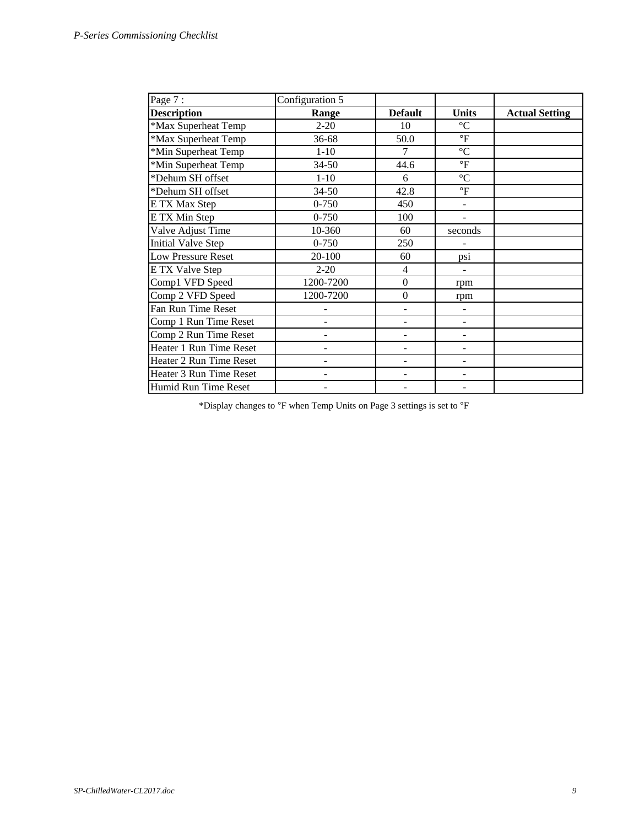| Page 7:                   | Configuration 5          |                          |                          |                       |
|---------------------------|--------------------------|--------------------------|--------------------------|-----------------------|
| <b>Description</b>        | Range                    | <b>Default</b>           | <b>Units</b>             | <b>Actual Setting</b> |
| *Max Superheat Temp       | $2 - 20$                 | 10                       | $\rm ^{\circ}C$          |                       |
| *Max Superheat Temp       | 36-68                    | 50.0                     | $\mathsf{P}$             |                       |
| *Min Superheat Temp       | $1 - 10$                 | 7                        | $\rm ^{\circ}C$          |                       |
| *Min Superheat Temp       | $34 - 50$                | 44.6                     | $\mathrm{^{\circ}F}$     |                       |
| *Dehum SH offset          | $1 - 10$                 | 6                        | $\rm ^{\circ}C$          |                       |
| *Dehum SH offset          | $34 - 50$                | 42.8                     | $\mathrm{^{\circ}F}$     |                       |
| E TX Max Step             | $0 - 750$                | 450                      |                          |                       |
| E TX Min Step             | $0 - 750$                | 100                      | $\overline{\phantom{a}}$ |                       |
| Valve Adjust Time         | 10-360                   | 60                       | seconds                  |                       |
| <b>Initial Valve Step</b> | $0 - 750$                | 250                      |                          |                       |
| <b>Low Pressure Reset</b> | 20-100                   | 60                       | psi                      |                       |
| <b>ETX Valve Step</b>     | $2 - 20$                 | 4                        |                          |                       |
| Comp1 VFD Speed           | 1200-7200                | $\boldsymbol{0}$         | rpm                      |                       |
| Comp 2 VFD Speed          | 1200-7200                | $\boldsymbol{0}$         | rpm                      |                       |
| Fan Run Time Reset        |                          | $\overline{\phantom{a}}$ | $\blacksquare$           |                       |
| Comp 1 Run Time Reset     |                          |                          |                          |                       |
| Comp 2 Run Time Reset     |                          |                          |                          |                       |
| Heater 1 Run Time Reset   | $\overline{\phantom{0}}$ |                          | -                        |                       |
| Heater 2 Run Time Reset   | $\overline{\phantom{0}}$ | $\overline{\phantom{0}}$ | $\overline{\phantom{m}}$ |                       |
| Heater 3 Run Time Reset   | $\overline{a}$           | $\overline{\phantom{a}}$ | $\overline{a}$           |                       |
| Humid Run Time Reset      |                          |                          |                          |                       |

\*Display changes to °F when Temp Units on Page 3 settings is set to °F